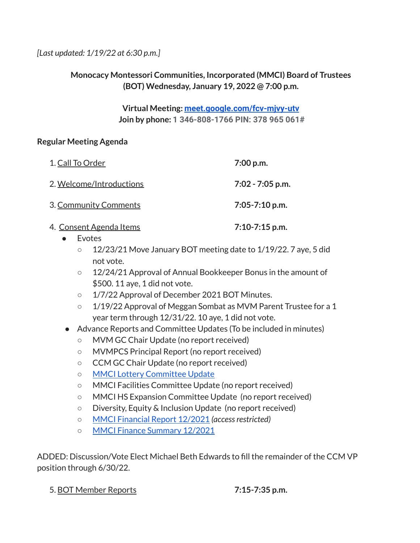*[Last updated: 1/19/22 at 6:30 p.m.]*

### **Monocacy Montessori Communities, Incorporated (MMCI) Board of Trustees (BOT) Wednesday, January 19, 2022 @ 7:00 p.m.**

**Virtual Meeting: [meet.google.com/fcv-mjvy-utv](http://meet.google.com/fcv-mjvy-utv) Join by phone: 1 346-808-1766 PIN: 378 965 061#**

### **Regular Meeting Agenda**

| 1. Call To Order                | 7:00 p.m.          |
|---------------------------------|--------------------|
| 2. Welcome/Introductions        | $7:02 - 7:05$ p.m. |
| <b>3. Community Comments</b>    | $7:05 - 7:10$ p.m. |
| <u> 4. Consent Agenda Items</u> | $7:10-7:15$ p.m.   |

- Evotes
	- 12/23/21 Move January BOT meeting date to 1/19/22. 7 aye, 5 did not vote.
	- 12/24/21 Approval of Annual Bookkeeper Bonus in the amount of \$500. 11 aye, 1 did not vote.
	- 1/7/22 Approval of December 2021 BOT Minutes.
	- 1/19/22 Approval of Meggan Sombat as MVM Parent Trustee for a 1 year term through 12/31/22. 10 aye, 1 did not vote.
- Advance Reports and Committee Updates (To be included in minutes)
	- MVM GC Chair Update (no report received)
	- MVMPCS Principal Report (no report received)
	- CCM GC Chair Update (no report received)
	- MMCI Lottery [Committee](https://docs.google.com/document/d/1u8E9tarsbq6WdZzHCj0jezP4zO_BvlStYUE7fnN9D-c/edit?usp=sharing) Update
	- MMCI Facilities Committee Update (no report received)
	- MMCI HS Expansion Committee Update (no report received)
	- Diversity, Equity & Inclusion Update (no report received)
	- MMCI [Financial](https://docs.google.com/spreadsheets/d/12I3XsOLj_mIQZZDu00lGEaIHMCkXF-iq/edit?usp=sharing&ouid=112286663168399488725&rtpof=true&sd=true) Report 12/2021 *(accessrestricted)*
	- MMCI Finance [Summary](https://docs.google.com/document/d/1t7UpyJLaEJiyxcwf_jH6hm8NrhDVsuWD/edit?usp=sharing&ouid=112286663168399488725&rtpof=true&sd=true) 12/2021

ADDED: Discussion/Vote Elect Michael Beth Edwards to fill the remainder of the CCM VP position through 6/30/22.

5. BOT Member Reports **7:15-7:35 p.m.**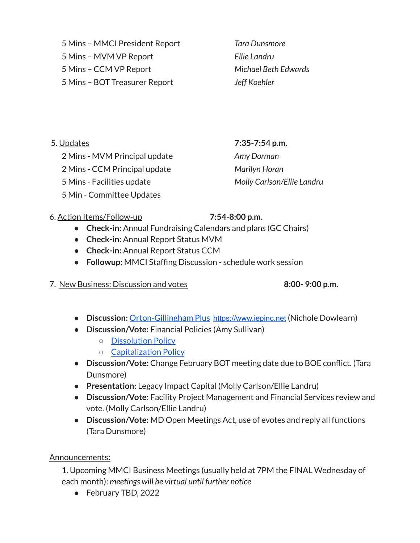5 Mins – MMCI President Report *Tara Dunsmore* 5 Mins – MVM VP Report *Ellie Landru* 5 Mins – CCM VP Report *Michael Beth Edwards*

5 Mins – BOT Treasurer Report *Jeff Koehler*

5. Updates **7:35-7:54 p.m.**

2 Mins - MVM Principal update *Amy Dorman*

2 Mins - CCM Principal update *Marilyn Horan*

5 Mins - Facilities update *Molly Carlson/Ellie Landru*

5 Min - Committee Updates

## 6. Action Items/Follow-up **7:54-8:00 p.m.**

- **● Check-in:** Annual Fundraising Calendars and plans (GC Chairs)
- **Check-in:** Annual Report Status MVM
- **Check-in:** Annual Report Status CCM
- **Followup:** MMCI Staffing Discussion schedule work session

# 7. New Business: Discussion and votes **8:00- 9:00 p.m.**

- **● Discussion:** [Orton-Gillingham](https://drive.google.com/file/d/1T64b9nJJRokYn_xVbn9r9cM_Vk7-vlDa/view?usp=sharing) Plus [https://www.iepinc.net](https://www.iepinc.net/) (Nichole Dowlearn)
- **● Discussion/Vote:** Financial Policies (Amy Sullivan)
	- [Dissolution](https://drive.google.com/file/d/1I_PPuGnVdgrKHM9KIgHkyQMQbPjeStmk/view?usp=sharing) Policy
	- [Capitalization](https://drive.google.com/file/d/1BrAJGuVNMdroJENv7qajH8PDuHx5mhqQ/view?usp=sharing) Policy
- **● Discussion/Vote:** Change February BOT meeting date due to BOE conflict. (Tara Dunsmore)
- **Presentation:** Legacy Impact Capital (Molly Carlson/Ellie Landru)
- **Discussion/Vote:** Facility Project Management and Financial Services review and vote. (Molly Carlson/Ellie Landru)
- **Discussion/Vote:** MD Open Meetings Act, use of evotes and reply all functions (Tara Dunsmore)

## Announcements:

1. Upcoming MMCI Business Meetings (usually held at 7PM the FINAL Wednesday of each month): *meetings will be virtual until further notice*

● February TBD, 2022

- 
- 
-